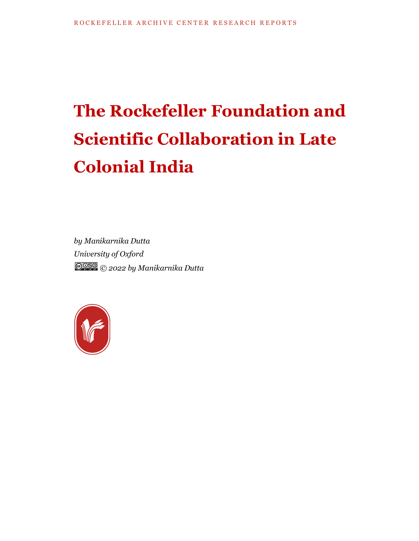## **The Rockefeller Foundation and Scientific Collaboration in Late Colonial India**

*by Manikarnika Dutta University of Oxford © 2022 by Manikarnika Dutta*

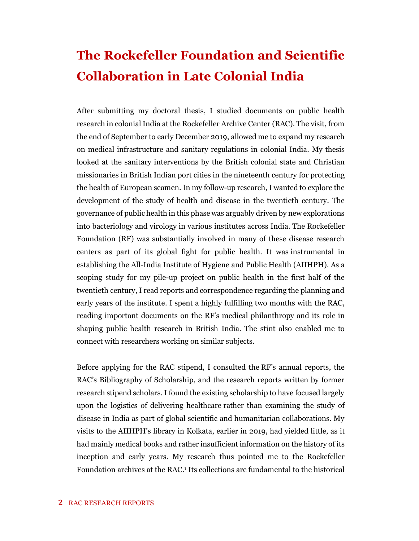## **The Rockefeller Foundation and Scientific Collaboration in Late Colonial India**

After submitting my doctoral thesis, I studied documents on public health research in colonial India at the Rockefeller Archive Center (RAC). The visit, from the end of September to early December 2019, allowed me to expand my research on medical infrastructure and sanitary regulations in colonial India. My thesis looked at the sanitary interventions by the British colonial state and Christian missionaries in British Indian port cities in the nineteenth century for protecting the health of European seamen. In my follow-up research, I wanted to explore the development of the study of health and disease in the twentieth century. The governance of public health in this phase was arguably driven by new explorations into bacteriology and virology in various institutes across India. The Rockefeller Foundation (RF) was substantially involved in many of these disease research centers as part of its global fight for public health. It was instrumental in establishing the All-India Institute of Hygiene and Public Health (AIIHPH). As a scoping study for my pile-up project on public health in the first half of the twentieth century, I read reports and correspondence regarding the planning and early years of the institute. I spent a highly fulfilling two months with the RAC, reading important documents on the RF's medical philanthropy and its role in shaping public health research in British India. The stint also enabled me to connect with researchers working on similar subjects.

Before applying for the RAC stipend, I consulted the RF's annual reports, the RAC's Bibliography of Scholarship, and the research reports written by former research stipend scholars. I found the existing scholarship to have focused largely upon the logistics of delivering healthcare rather than examining the study of disease in India as part of global scientific and humanitarian collaborations. My visits to the AIIHPH's library in Kolkata, earlier in 2019, had yielded little, as it had mainly medical books and rather insufficient information on the history of its inception and early years. My research thus pointed me to the Rockefeller Foundation archives at the RAC.<sup>1</sup> Its collections are fundamental to the historical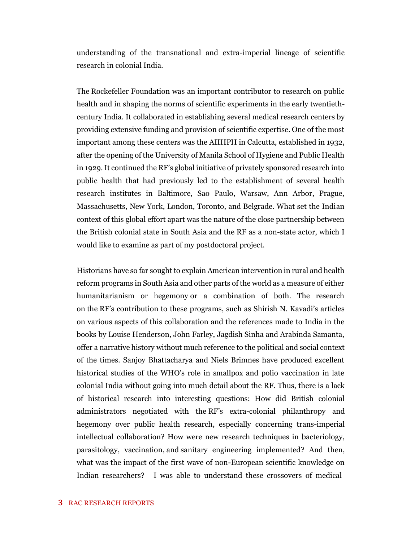understanding of the transnational and extra-imperial lineage of scientific research in colonial India.

The Rockefeller Foundation was an important contributor to research on public health and in shaping the norms of scientific experiments in the early twentiethcentury India. It collaborated in establishing several medical research centers by providing extensive funding and provision of scientific expertise. One of the most important among these centers was the AIIHPH in Calcutta, established in 1932, after the opening of the University of Manila School of Hygiene and Public Health in 1929. It continued the RF's global initiative of privately sponsored research into public health that had previously led to the establishment of several health research institutes in Baltimore, Sao Paulo, Warsaw, Ann Arbor, Prague, Massachusetts, New York, London, Toronto, and Belgrade. What set the Indian context of this global effort apart was the nature of the close partnership between the British colonial state in South Asia and the RF as a non-state actor, which I would like to examine as part of my postdoctoral project.

Historians have so far sought to explain American intervention in rural and health reform programs in South Asia and other parts of the world as a measure of either humanitarianism or hegemony or a combination of both. The research on the RF's contribution to these programs, such as Shirish N. Kavadi's articles on various aspects of this collaboration and the references made to India in the books by Louise Henderson, John Farley, Jagdish Sinha and Arabinda Samanta, offer a narrative history without much reference to the political and social context of the times. Sanjoy Bhattacharya and Niels Brimnes have produced excellent historical studies of the WHO's role in smallpox and polio vaccination in late colonial India without going into much detail about the RF. Thus, there is a lack of historical research into interesting questions: How did British colonial administrators negotiated with the RF's extra-colonial philanthropy and hegemony over public health research, especially concerning trans-imperial intellectual collaboration? How were new research techniques in bacteriology, parasitology, vaccination, and sanitary engineering implemented? And then, what was the impact of the first wave of non-European scientific knowledge on Indian researchers? I was able to understand these crossovers of medical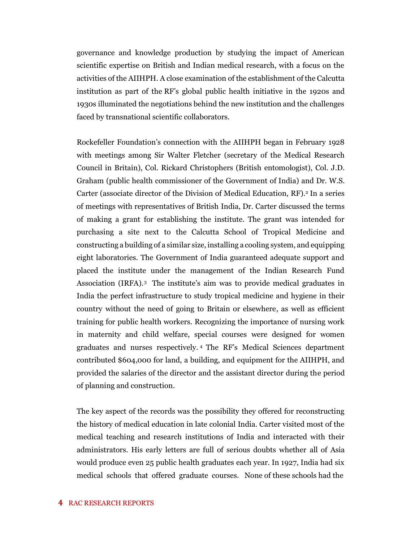governance and knowledge production by studying the impact of American scientific expertise on British and Indian medical research, with a focus on the activities of the AIIHPH. A close examination of the establishment of the Calcutta institution as part of the RF's global public health initiative in the 1920s and 1930s illuminated the negotiations behind the new institution and the challenges faced by transnational scientific collaborators.

Rockefeller Foundation's connection with the AIIHPH began in February 1928 with meetings among Sir Walter Fletcher (secretary of the Medical Research Council in Britain), Col. Rickard Christophers (British entomologist), Col. J.D. Graham (public health commissioner of the Government of India) and Dr. W.S. Carter (associate director of the Division of Medical Education, RF). <sup>2</sup> In a series of meetings with representatives of British India, Dr. Carter discussed the terms of making a grant for establishing the institute. The grant was intended for purchasing a site next to the Calcutta School of Tropical Medicine and constructing a building of a similar size, installing a cooling system, and equipping eight laboratories. The Government of India guaranteed adequate support and placed the institute under the management of the Indian Research Fund Association (IRFA).<sup>3</sup> The institute's aim was to provide medical graduates in India the perfect infrastructure to study tropical medicine and hygiene in their country without the need of going to Britain or elsewhere, as well as efficient training for public health workers. Recognizing the importance of nursing work in maternity and child welfare, special courses were designed for women graduates and nurses respectively. <sup>4</sup> The RF's Medical Sciences department contributed \$604,000 for land, a building, and equipment for the AIIHPH, and provided the salaries of the director and the assistant director during the period of planning and construction.

The key aspect of the records was the possibility they offered for reconstructing the history of medical education in late colonial India. Carter visited most of the medical teaching and research institutions of India and interacted with their administrators. His early letters are full of serious doubts whether all of Asia would produce even 25 public health graduates each year. In 1927, India had six medical schools that offered graduate courses. None of these schools had the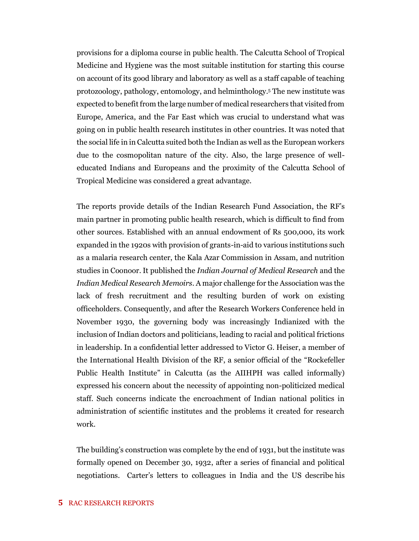provisions for a diploma course in public health. The Calcutta School of Tropical Medicine and Hygiene was the most suitable institution for starting this course on account of its good library and laboratory as well as a staff capable of teaching protozoology, pathology, entomology, and helminthology.<sup>5</sup> The new institute was expected to benefit from the large number of medical researchers that visited from Europe, America, and the Far East which was crucial to understand what was going on in public health research institutes in other countries. It was noted that the social life in in Calcutta suited both the Indian as well as the European workers due to the cosmopolitan nature of the city. Also, the large presence of welleducated Indians and Europeans and the proximity of the Calcutta School of Tropical Medicine was considered a great advantage.

The reports provide details of the Indian Research Fund Association, the RF's main partner in promoting public health research, which is difficult to find from other sources. Established with an annual endowment of Rs 500,000, its work expanded in the 1920s with provision of grants-in-aid to various institutions such as a malaria research center, the Kala Azar Commission in Assam, and nutrition studies in Coonoor. It published the *Indian Journal of Medical Research* and the *Indian Medical Research Memoirs*. A major challenge for the Association was the lack of fresh recruitment and the resulting burden of work on existing officeholders. Consequently, and after the Research Workers Conference held in November 1930, the governing body was increasingly Indianized with the inclusion of Indian doctors and politicians, leading to racial and political frictions in leadership. In a confidential letter addressed to Victor G. Heiser, a member of the International Health Division of the RF, a senior official of the "Rockefeller Public Health Institute" in Calcutta (as the AIIHPH was called informally) expressed his concern about the necessity of appointing non-politicized medical staff. Such concerns indicate the encroachment of Indian national politics in administration of scientific institutes and the problems it created for research work.

The building's construction was complete by the end of 1931, but the institute was formally opened on December 30, 1932, after a series of financial and political negotiations. Carter's letters to colleagues in India and the US describe his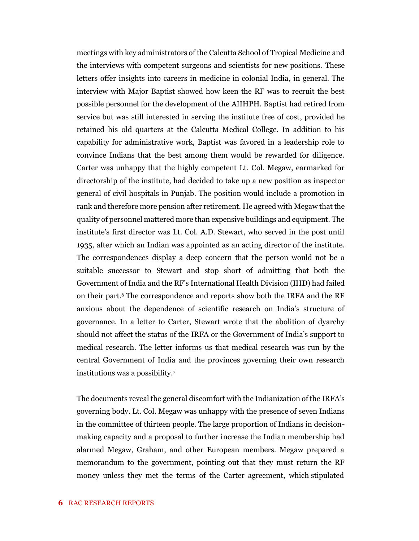meetings with key administrators of the Calcutta School of Tropical Medicine and the interviews with competent surgeons and scientists for new positions. These letters offer insights into careers in medicine in colonial India, in general. The interview with Major Baptist showed how keen the RF was to recruit the best possible personnel for the development of the AIIHPH. Baptist had retired from service but was still interested in serving the institute free of cost, provided he retained his old quarters at the Calcutta Medical College. In addition to his capability for administrative work, Baptist was favored in a leadership role to convince Indians that the best among them would be rewarded for diligence. Carter was unhappy that the highly competent Lt. Col. Megaw, earmarked for directorship of the institute, had decided to take up a new position as inspector general of civil hospitals in Punjab. The position would include a promotion in rank and therefore more pension after retirement. He agreed with Megaw that the quality of personnel mattered more than expensive buildings and equipment. The institute's first director was Lt. Col. A.D. Stewart, who served in the post until 1935, after which an Indian was appointed as an acting director of the institute. The correspondences display a deep concern that the person would not be a suitable successor to Stewart and stop short of admitting that both the Government of India and the RF's International Health Division (IHD) had failed on their part.<sup>6</sup> The correspondence and reports show both the IRFA and the RF anxious about the dependence of scientific research on India's structure of governance. In a letter to Carter, Stewart wrote that the abolition of dyarchy should not affect the status of the IRFA or the Government of India's support to medical research. The letter informs us that medical research was run by the central Government of India and the provinces governing their own research institutions was a possibility.<sup>7</sup>

The documents reveal the general discomfort with the Indianization of the IRFA's governing body. Lt. Col. Megaw was unhappy with the presence of seven Indians in the committee of thirteen people. The large proportion of Indians in decisionmaking capacity and a proposal to further increase the Indian membership had alarmed Megaw, Graham, and other European members. Megaw prepared a memorandum to the government, pointing out that they must return the RF money unless they met the terms of the Carter agreement, which stipulated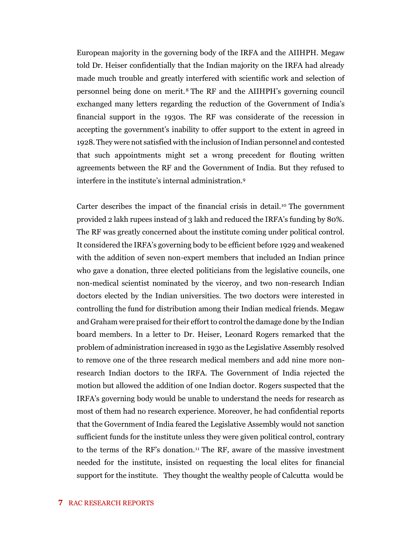European majority in the governing body of the IRFA and the AIIHPH. Megaw told Dr. Heiser confidentially that the Indian majority on the IRFA had already made much trouble and greatly interfered with scientific work and selection of personnel being done on merit.<sup>8</sup> The RF and the AIIHPH's governing council exchanged many letters regarding the reduction of the Government of India's financial support in the 1930s. The RF was considerate of the recession in accepting the government's inability to offer support to the extent in agreed in 1928. They were not satisfied with the inclusion of Indian personnel and contested that such appointments might set a wrong precedent for flouting written agreements between the RF and the Government of India. But they refused to interfere in the institute's internal administration.<sup>9</sup>

Carter describes the impact of the financial crisis in detail.<sup>10</sup> The government provided 2 lakh rupees instead of 3 lakh and reduced the IRFA's funding by 80%. The RF was greatly concerned about the institute coming under political control. It considered the IRFA's governing body to be efficient before 1929 and weakened with the addition of seven non-expert members that included an Indian prince who gave a donation, three elected politicians from the legislative councils, one non-medical scientist nominated by the viceroy, and two non-research Indian doctors elected by the Indian universities. The two doctors were interested in controlling the fund for distribution among their Indian medical friends. Megaw and Graham were praised for their effort to control the damage done by the Indian board members. In a letter to Dr. Heiser, Leonard Rogers remarked that the problem of administration increased in 1930 as the Legislative Assembly resolved to remove one of the three research medical members and add nine more nonresearch Indian doctors to the IRFA. The Government of India rejected the motion but allowed the addition of one Indian doctor. Rogers suspected that the IRFA's governing body would be unable to understand the needs for research as most of them had no research experience. Moreover, he had confidential reports that the Government of India feared the Legislative Assembly would not sanction sufficient funds for the institute unless they were given political control, contrary to the terms of the RF's donation.<sup>11</sup> The RF, aware of the massive investment needed for the institute, insisted on requesting the local elites for financial support for the institute. They thought the wealthy people of Calcutta would be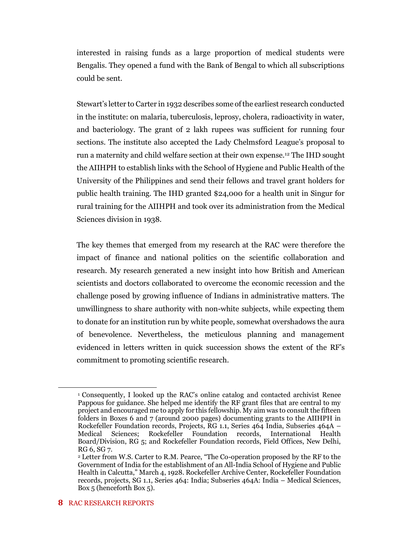interested in raising funds as a large proportion of medical students were Bengalis. They opened a fund with the Bank of Bengal to which all subscriptions could be sent.

Stewart's letter to Carter in 1932 describes some of the earliest research conducted in the institute: on malaria, tuberculosis, leprosy, cholera, radioactivity in water, and bacteriology. The grant of 2 lakh rupees was sufficient for running four sections. The institute also accepted the Lady Chelmsford League's proposal to run a maternity and child welfare section at their own expense.<sup>12</sup> The IHD sought the AIIHPH to establish links with the School of Hygiene and Public Health of the University of the Philippines and send their fellows and travel grant holders for public health training. The IHD granted \$24,000 for a health unit in Singur for rural training for the AIIHPH and took over its administration from the Medical Sciences division in 1938.

The key themes that emerged from my research at the RAC were therefore the impact of finance and national politics on the scientific collaboration and research. My research generated a new insight into how British and American scientists and doctors collaborated to overcome the economic recession and the challenge posed by growing influence of Indians in administrative matters. The unwillingness to share authority with non-white subjects, while expecting them to donate for an institution run by white people, somewhat overshadows the aura of benevolence. Nevertheless, the meticulous planning and management evidenced in letters written in quick succession shows the extent of the RF's commitment to promoting scientific research.

<sup>1</sup> Consequently, I looked up the RAC's online catalog and contacted archivist Renee Pappous for guidance. She helped me identify the RF grant files that are central to my project and encouraged me to apply for this fellowship. My aim was to consult the fifteen folders in Boxes 6 and 7 (around 2000 pages) documenting grants to the AIIHPH in Rockefeller Foundation records, Projects, RG 1.1, Series 464 India, Subseries 464A – Medical Sciences: Rockefeller Foundation records. International Health Medical Sciences; Rockefeller Foundation records, International Health Board/Division, RG 5; and Rockefeller Foundation records, Field Offices, New Delhi, RG 6, SG 7.

<sup>2</sup> Letter from W.S. Carter to R.M. Pearce, "The Co-operation proposed by the RF to the Government of India for the establishment of an All-India School of Hygiene and Public Health in Calcutta," March 4, 1928. Rockefeller Archive Center, Rockefeller Foundation records, projects, SG 1.1, Series 464: India; Subseries 464A: India – Medical Sciences, Box 5 (henceforth Box 5).